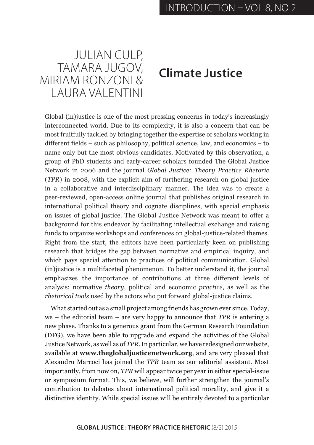## JULIAN CULP, TAMARA JUGOV, MIRIAM RONZONI & LAURA VALENTINI

## **Climate Justice**

Global (in)justice is one of the most pressing concerns in today's increasingly interconnected world. Due to its complexity, it is also a concern that can be most fruitfully tackled by bringing together the expertise of scholars working in different fields – such as philosophy, political science, law, and economics – to name only but the most obvious candidates. Motivated by this observation, a group of PhD students and early-career scholars founded The Global Justice Network in 2006 and the journal *Global Justice: Theory Practice Rhetoric*  (*TPR*) in 2008, with the explicit aim of furthering research on global justice in a collaborative and interdisciplinary manner. The idea was to create a peer-reviewed, open-access online journal that publishes original research in international political theory and cognate disciplines, with special emphasis on issues of global justice. The Global Justice Network was meant to offer a background for this endeavor by facilitating intellectual exchange and raising funds to organize workshops and conferences on global-justice-related themes. Right from the start, the editors have been particularly keen on publishing research that bridges the gap between normative and empirical inquiry, and which pays special attention to practices of political communication. Global (in)justice is a multifaceted phenomenon. To better understand it, the journal emphasizes the importance of contributions at three different levels of analysis: normative *theory*, political and economic *practice*, as well as the *rhetorical tools* used by the actors who put forward global-justice claims.

What started out as a small project among friends has grown ever since. Today, we – the editorial team – are very happy to announce that *TPR* is entering a new phase. Thanks to a generous grant from the German Research Foundation (DFG), we have been able to upgrade and expand the activities of the Global Justice Network, as well as of *TPR*. In particular, we have redesigned our website, available at **[www.theglobaljusticenetwork.org](http://www.theglobaljusticenetwork.org/index.php/gjn)**, and are very pleased that Alexandru Marcoci has joined the *TPR* team as our editorial assistant. Most importantly, from now on, *TPR* will appear twice per year in either special-issue or symposium format. This, we believe, will further strengthen the journal's contribution to debates about international political morality, and give it a distinctive identity. While special issues will be entirely devoted to a particular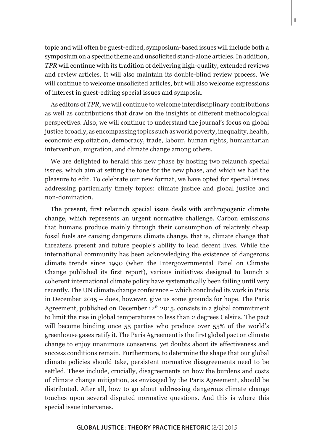topic and will often be guest-edited, symposium-based issues will include both a symposium on a specific theme and unsolicited stand-alone articles. In addition, *TPR* will continue with its tradition of delivering high-quality, extended reviews and review articles. It will also maintain its double-blind review process. We will continue to welcome unsolicited articles, but will also welcome expressions of interest in guest-editing special issues and symposia.

As editors of *TPR,* we will continue to welcome interdisciplinary contributions as well as contributions that draw on the insights of different methodological perspectives. Also, we will continue to understand the journal's focus on global justice broadly, as encompassing topics such as world poverty, inequality, health, economic exploitation, democracy, trade, labour, human rights, humanitarian intervention, migration, and climate change among others.

We are delighted to herald this new phase by hosting two relaunch special issues, which aim at setting the tone for the new phase, and which we had the pleasure to edit. To celebrate our new format, we have opted for special issues addressing particularly timely topics: climate justice and global justice and non-domination.

The present, first relaunch special issue deals with anthropogenic climate change, which represents an urgent normative challenge. Carbon emissions that humans produce mainly through their consumption of relatively cheap fossil fuels are causing dangerous climate change, that is, climate change that threatens present and future people's ability to lead decent lives. While the international community has been acknowledging the existence of dangerous climate trends since 1990 (when the Intergovernmental Panel on Climate Change published its first report), various initiatives designed to launch a coherent international climate policy have systematically been failing until very recently. The UN climate change conference – which concluded its work in Paris in December 2015 – does, however, give us some grounds for hope. The Paris Agreement, published on December  $12<sup>th</sup> 2015$ , consists in a global commitment to limit the rise in global temperatures to less than 2 degrees Celsius. The pact will become binding once 55 parties who produce over 55% of the world's greenhouse gases ratify it. The Paris Agreement is the first global pact on climate change to enjoy unanimous consensus, yet doubts about its effectiveness and success conditions remain. Furthermore, to determine the shape that our global climate policies should take, persistent normative disagreements need to be settled. These include, crucially, disagreements on how the burdens and costs of climate change mitigation, as envisaged by the Paris Agreement, should be distributed. After all, how to go about addressing dangerous climate change touches upon several disputed normative questions. And this is where this special issue intervenes.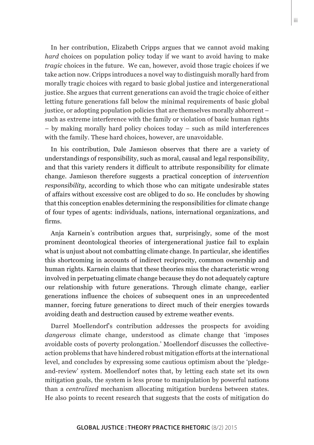In her contribution, Elizabeth Cripps argues that we cannot avoid making *hard* choices on population policy today if we want to avoid having to make *tragic* choices in the future. We can, however, avoid those tragic choices if we take action now. Cripps introduces a novel way to distinguish morally hard from morally tragic choices with regard to basic global justice and intergenerational justice. She argues that current generations can avoid the tragic choice of either letting future generations fall below the minimal requirements of basic global justice, or adopting population policies that are themselves morally abhorrent – such as extreme interference with the family or violation of basic human rights – by making morally hard policy choices today – such as mild interferences with the family. These hard choices, however, are unavoidable.

In his contribution, Dale Jamieson observes that there are a variety of understandings of responsibility, such as moral, causal and legal responsibility, and that this variety renders it difficult to attribute responsibility for climate change. Jamieson therefore suggests a practical conception of *intervention responsibility*, according to which those who can mitigate undesirable states of affairs without excessive cost are obliged to do so. He concludes by showing that this conception enables determining the responsibilities for climate change of four types of agents: individuals, nations, international organizations, and firms.

Anja Karnein's contribution argues that, surprisingly, some of the most prominent deontological theories of intergenerational justice fail to explain what is unjust about not combatting climate change. In particular, she identifies this shortcoming in accounts of indirect reciprocity, common ownership and human rights. Karnein claims that these theories miss the characteristic wrong involved in perpetuating climate change because they do not adequately capture our relationship with future generations. Through climate change, earlier generations influence the choices of subsequent ones in an unprecedented manner, forcing future generations to direct much of their energies towards avoiding death and destruction caused by extreme weather events.

Darrel Moellendorf's contribution addresses the prospects for avoiding *dangerous* climate change, understood as climate change that 'imposes avoidable costs of poverty prolongation.' Moellendorf discusses the collectiveaction problems that have hindered robust mitigation efforts at the international level, and concludes by expressing some cautious optimism about the 'pledgeand-review' system. Moellendorf notes that, by letting each state set its own mitigation goals, the system is less prone to manipulation by powerful nations than a *centralized* mechanism allocating mitigation burdens between states. He also points to recent research that suggests that the costs of mitigation do